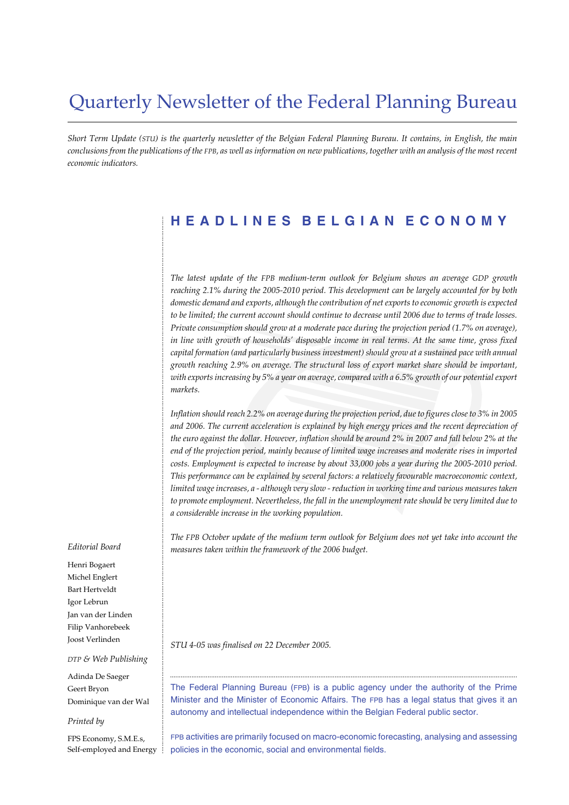# Quarterly Newsletter of the Federal Planning Bureau

*Short Term Update (STU) is the quarterly newsletter of the Belgian Federal Planning Bureau. It contains, in English, the main conclusions from the publications of the FPB, as well as information on new publications, together with an analysis of the most recent economic indicators.*

# **HEADLINES BELGIAN ECONOMY**

*The latest update of the FPB medium-term outlook for Belgium shows an average GDP growth reaching 2.1% during the 2005-2010 period. This development can be largely accounted for by both domestic demand and exports, although the contribution of net exports to economic growth is expected to be limited; the current account should continue to decrease until 2006 due to terms of trade losses. Private consumption should grow at a moderate pace during the projection period (1.7% on average), in line with growth of households' disposable income in real terms. At the same time, gross fixed capital formation (and particularly business investment) should grow at a sustained pace with annual growth reaching 2.9% on average. The structural loss of export market share should be important, with exports increasing by 5% a year on average, compared with a 6.5% growth of our potential export markets.*

*Inflation should reach 2.2% on average during the projection period, due to figures close to 3% in 2005 and 2006. The current acceleration is explained by high energy prices and the recent depreciation of the euro against the dollar. However, inflation should be around 2% in 2007 and fall below 2% at the end of the projection period, mainly because of limited wage increases and moderate rises in imported costs. Employment is expected to increase by about 33,000 jobs a year during the 2005-2010 period. This performance can be explained by several factors: a relatively favourable macroeconomic context, limited wage increases, a - although very slow - reduction in working time and various measures taken to promote employment. Nevertheless, the fall in the unemployment rate should be very limited due to a considerable increase in the working population.*

*The FPB October update of the medium term outlook for Belgium does not yet take into account the measures taken within the framework of the 2006 budget.*

*STU 4-05 was finalised on 22 December 2005.*

The Federal Planning Bureau (FPB) is a public agency under the authority of the Prime Minister and the Minister of Economic Affairs. The FPB has a legal status that gives it an autonomy and intellectual independence within the Belgian Federal public sector.

..................................................................................................................................................................................................

FPB activities are primarily focused on macro-economic forecasting, analysing and assessing policies in the economic, social and environmental fields.

#### *Editorial Board*

............................................................................................................................................................................................................................................................................................................

Henri Bogaert Michel Englert Bart Hertveldt Igor Lebrun Jan van der Linden Filip Vanhorebeek Joost Verlinden

#### *DTP & Web Publishing*

Adinda De Saeger Geert Bryon Dominique van der Wal

#### *Printed by*

FPS Economy, S.M.E.s, Self-employed and Energy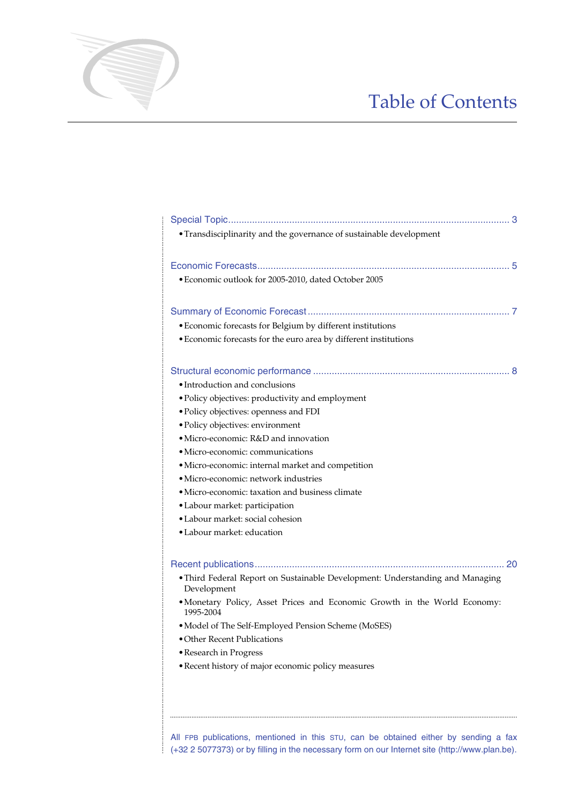# Table of Contents

| • Transdisciplinarity and the governance of sustainable development                          |
|----------------------------------------------------------------------------------------------|
|                                                                                              |
|                                                                                              |
| · Economic outlook for 2005-2010, dated October 2005                                         |
|                                                                                              |
|                                                                                              |
| • Economic forecasts for Belgium by different institutions                                   |
| • Economic forecasts for the euro area by different institutions                             |
|                                                                                              |
|                                                                                              |
| • Introduction and conclusions                                                               |
| • Policy objectives: productivity and employment                                             |
| · Policy objectives: openness and FDI                                                        |
| · Policy objectives: environment                                                             |
| · Micro-economic: R&D and innovation                                                         |
| • Micro-economic: communications                                                             |
| · Micro-economic: internal market and competition                                            |
| • Micro-economic: network industries                                                         |
| · Micro-economic: taxation and business climate                                              |
| · Labour market: participation                                                               |
| • Labour market: social cohesion                                                             |
| • Labour market: education                                                                   |
|                                                                                              |
|                                                                                              |
| • Third Federal Report on Sustainable Development: Understanding and Managing<br>Development |
| • Monetary Policy, Asset Prices and Economic Growth in the World Economy:<br>1995-2004       |
| • Model of The Self-Employed Pension Scheme (MoSES)                                          |
| • Other Recent Publications                                                                  |
| • Research in Progress                                                                       |
| · Recent history of major economic policy measures                                           |
|                                                                                              |
|                                                                                              |

............................................................................................................................................................................................................................................................................................................

All FPB publications, mentioned in this STU, can be obtained either by sending a fax (+32 2 5077373) or by filling in the necessary form on our Internet site (http://www.plan.be).

..................................................................................................................................................................................................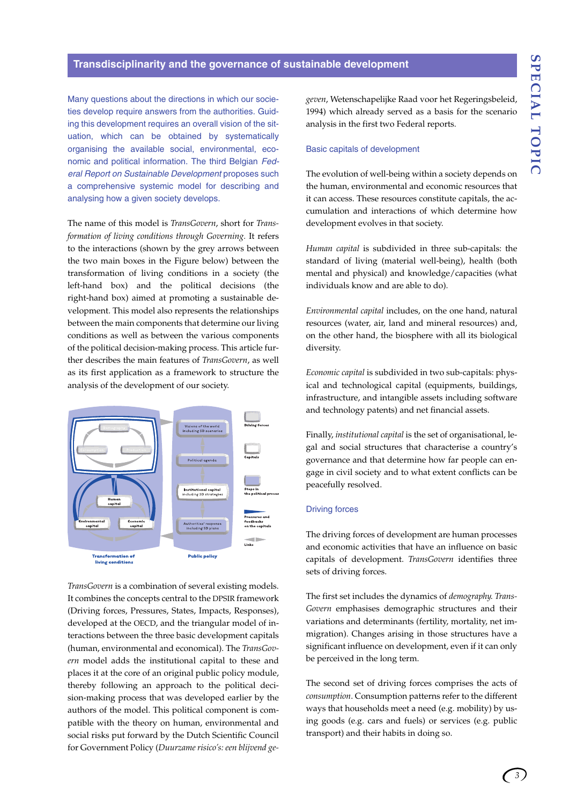#### **Transdisciplinarity and the governance of sustainable development**

Many questions about the directions in which our societies develop require answers from the authorities. Guiding this development requires an overall vision of the situation, which can be obtained by systematically organising the available social, environmental, economic and political information. The third Belgian *Federal Report on Sustainable Development* proposes such a comprehensive systemic model for describing and analysing how a given society develops.

The name of this model is *TransGovern*, short for *Transformation of living conditions through Governing.* It refers to the interactions (shown by the grey arrows between the two main boxes in the Figure below) between the transformation of living conditions in a society (the left-hand box) and the political decisions (the right-hand box) aimed at promoting a sustainable development. This model also represents the relationships between the main components that determine our living conditions as well as between the various components of the political decision-making process. This article further describes the main features of *TransGovern*, as well as its first application as a framework to structure the analysis of the development of our society.



*TransGovern* is a combination of several existing models. It combines the concepts central to the DPSIR framework (Driving forces, Pressures, States, Impacts, Responses), developed at the OECD, and the triangular model of interactions between the three basic development capitals (human, environmental and economical). The *TransGovern* model adds the institutional capital to these and places it at the core of an original public policy module, thereby following an approach to the political decision-making process that was developed earlier by the authors of the model. This political component is compatible with the theory on human, environmental and social risks put forward by the Dutch Scientific Council for Government Policy (*Duurzame risico's: een blijvend ge-* *geven*, Wetenschapelijke Raad voor het Regeringsbeleid, 1994) which already served as a basis for the scenario analysis in the first two Federal reports.

#### Basic capitals of development

The evolution of well-being within a society depends on the human, environmental and economic resources that it can access. These resources constitute capitals, the accumulation and interactions of which determine how development evolves in that society.

*Human capital* is subdivided in three sub-capitals: the standard of living (material well-being), health (both mental and physical) and knowledge/capacities (what individuals know and are able to do).

*Environmental capital* includes, on the one hand, natural resources (water, air, land and mineral resources) and, on the other hand, the biosphere with all its biological diversity.

*Economic capital* is subdivided in two sub-capitals: physical and technological capital (equipments, buildings, infrastructure, and intangible assets including software and technology patents) and net financial assets.

Finally, *institutional capital* is the set of organisational, legal and social structures that characterise a country's governance and that determine how far people can engage in civil society and to what extent conflicts can be peacefully resolved.

#### Driving forces

The driving forces of development are human processes and economic activities that have an influence on basic capitals of development. *TransGovern* identifies three sets of driving forces.

The first set includes the dynamics of *demography*. *Trans-Govern* emphasises demographic structures and their variations and determinants (fertility, mortality, net immigration). Changes arising in those structures have a significant influence on development, even if it can only be perceived in the long term.

The second set of driving forces comprises the acts of *consumption*. Consumption patterns refer to the different ways that households meet a need (e.g. mobility) by using goods (e.g. cars and fuels) or services (e.g. public transport) and their habits in doing so.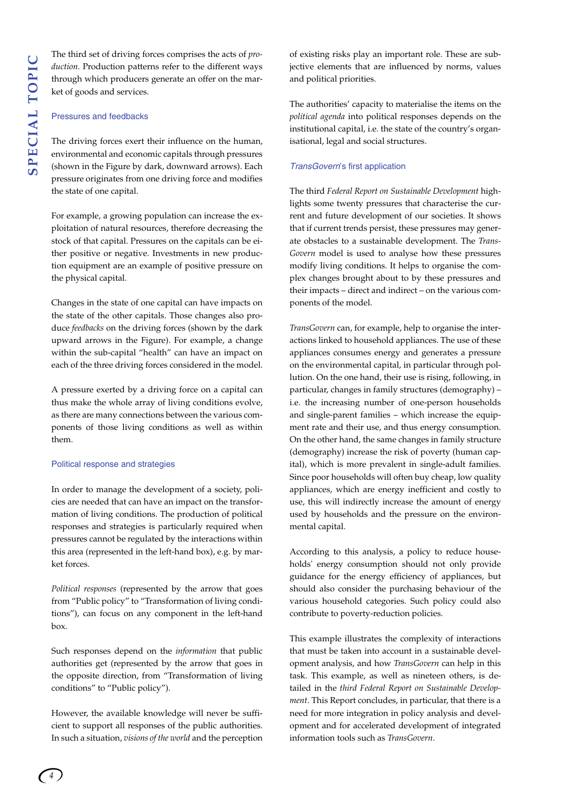The third set of driving forces comprises the acts of *production*. Production patterns refer to the different ways through which producers generate an offer on the market of goods and services.

#### Pressures and feedbacks

The driving forces exert their influence on the human, environmental and economic capitals through pressures (shown in the Figure by dark, downward arrows). Each pressure originates from one driving force and modifies the state of one capital.

For example, a growing population can increase the exploitation of natural resources, therefore decreasing the stock of that capital. Pressures on the capitals can be either positive or negative. Investments in new production equipment are an example of positive pressure on the physical capital.

Changes in the state of one capital can have impacts on the state of the other capitals. Those changes also produce *feedbacks* on the driving forces (shown by the dark upward arrows in the Figure). For example, a change within the sub-capital "health" can have an impact on each of the three driving forces considered in the model.

A pressure exerted by a driving force on a capital can thus make the whole array of living conditions evolve, as there are many connections between the various components of those living conditions as well as within them.

#### Political response and strategies

In order to manage the development of a society, policies are needed that can have an impact on the transformation of living conditions. The production of political responses and strategies is particularly required when pressures cannot be regulated by the interactions within this area (represented in the left-hand box), e.g. by market forces.

*Political responses* (represented by the arrow that goes from "Public policy" to "Transformation of living conditions"), can focus on any component in the left-hand box.

Such responses depend on the *information* that public authorities get (represented by the arrow that goes in the opposite direction, from "Transformation of living conditions" to "Public policy").

However, the available knowledge will never be sufficient to support all responses of the public authorities. In such a situation, *visions of the world* and the perception of existing risks play an important role. These are subjective elements that are influenced by norms, values and political priorities.

The authorities' capacity to materialise the items on the *political agenda* into political responses depends on the institutional capital, i.e. the state of the country's organisational, legal and social structures.

#### *TransGovern*'s first application

The third *Federal Report on Sustainable Development* highlights some twenty pressures that characterise the current and future development of our societies. It shows that if current trends persist, these pressures may generate obstacles to a sustainable development. The *Trans-Govern* model is used to analyse how these pressures modify living conditions. It helps to organise the complex changes brought about to by these pressures and their impacts – direct and indirect – on the various components of the model.

*TransGovern* can, for example, help to organise the interactions linked to household appliances. The use of these appliances consumes energy and generates a pressure on the environmental capital, in particular through pollution. On the one hand, their use is rising, following, in particular, changes in family structures (demography) – i.e. the increasing number of one-person households and single-parent families – which increase the equipment rate and their use, and thus energy consumption. On the other hand, the same changes in family structure (demography) increase the risk of poverty (human capital), which is more prevalent in single-adult families. Since poor households will often buy cheap, low quality appliances, which are energy inefficient and costly to use, this will indirectly increase the amount of energy used by households and the pressure on the environmental capital.

According to this analysis, a policy to reduce households' energy consumption should not only provide guidance for the energy efficiency of appliances, but should also consider the purchasing behaviour of the various household categories. Such policy could also contribute to poverty-reduction policies.

This example illustrates the complexity of interactions that must be taken into account in a sustainable development analysis, and how *TransGovern* can help in this task. This example, as well as nineteen others, is detailed in the *third Federal Report on Sustainable Development*. This Report concludes, in particular, that there is a need for more integration in policy analysis and development and for accelerated development of integrated information tools such as *TransGovern*.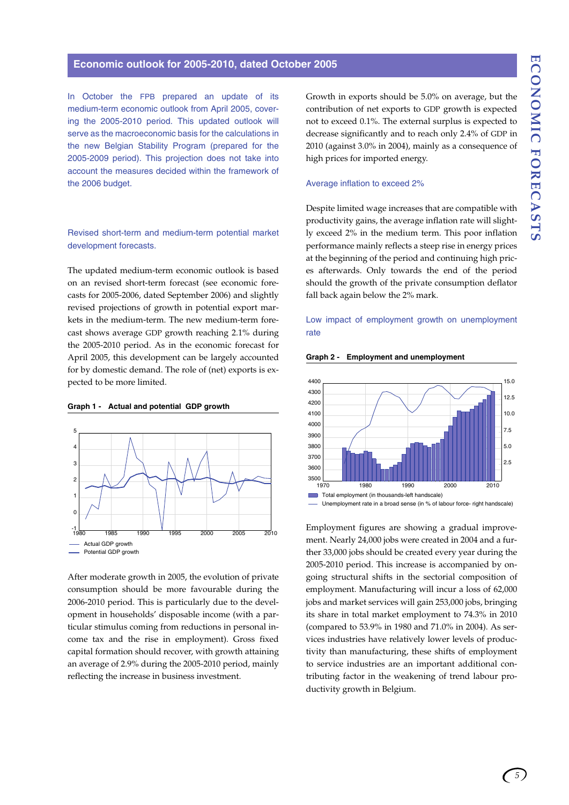#### **Economic outlook for 2005-2010, dated October 2005**

In October the FPB prepared an update of its medium-term economic outlook from April 2005, covering the 2005-2010 period. This updated outlook will serve as the macroeconomic basis for the calculations in the new Belgian Stability Program (prepared for the 2005-2009 period). This projection does not take into account the measures decided within the framework of the 2006 budget.

#### Revised short-term and medium-term potential market development forecasts.

The updated medium-term economic outlook is based on an revised short-term forecast (see economic forecasts for 2005-2006, dated September 2006) and slightly revised projections of growth in potential export markets in the medium-term. The new medium-term forecast shows average GDP growth reaching 2.1% during the 2005-2010 period. As in the economic forecast for April 2005, this development can be largely accounted for by domestic demand. The role of (net) exports is expected to be more limited.

#### **Graph 1 - Actual and potential GDP growth**



After moderate growth in 2005, the evolution of private consumption should be more favourable during the 2006-2010 period. This is particularly due to the development in households' disposable income (with a particular stimulus coming from reductions in personal income tax and the rise in employment). Gross fixed capital formation should recover, with growth attaining an average of 2.9% during the 2005-2010 period, mainly reflecting the increase in business investment.

Growth in exports should be 5.0% on average, but the contribution of net exports to GDP growth is expected not to exceed 0.1%. The external surplus is expected to decrease significantly and to reach only 2.4% of GDP in 2010 (against 3.0% in 2004), mainly as a consequence of high prices for imported energy.

#### Average inflation to exceed 2%

Despite limited wage increases that are compatible with productivity gains, the average inflation rate will slightly exceed 2% in the medium term. This poor inflation performance mainly reflects a steep rise in energy prices at the beginning of the period and continuing high prices afterwards. Only towards the end of the period should the growth of the private consumption deflator fall back again below the 2% mark.

#### Low impact of employment growth on unemployment rate





Employment figures are showing a gradual improvement. Nearly 24,000 jobs were created in 2004 and a further 33,000 jobs should be created every year during the 2005-2010 period. This increase is accompanied by ongoing structural shifts in the sectorial composition of employment. Manufacturing will incur a loss of 62,000 jobs and market services will gain 253,000 jobs, bringing its share in total market employment to 74.3% in 2010 (compared to 53.9% in 1980 and 71.0% in 2004). As services industries have relatively lower levels of productivity than manufacturing, these shifts of employment to service industries are an important additional contributing factor in the weakening of trend labour productivity growth in Belgium.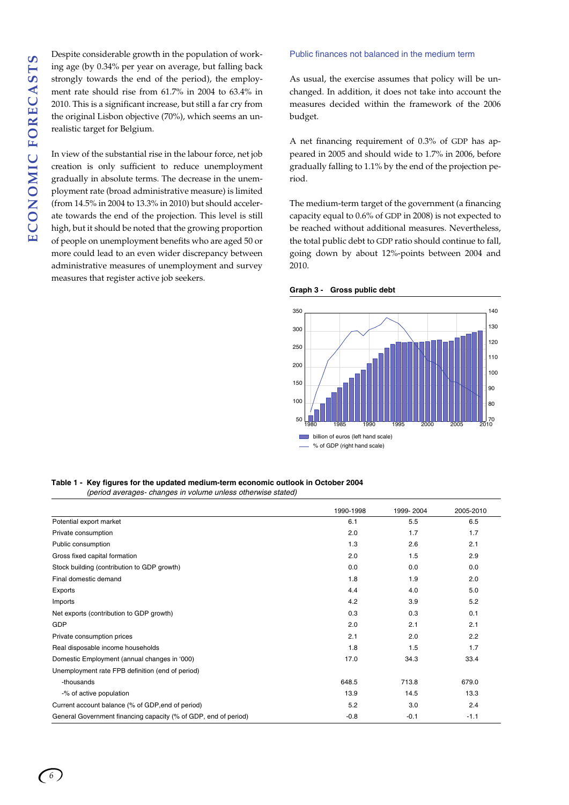Despite considerable growth in the population of working age (by 0.34% per year on average, but falling back strongly towards the end of the period), the employment rate should rise from 61.7% in 2004 to 63.4% in 2010. This is a significant increase, but still a far cry from the original Lisbon objective (70%), which seems an unrealistic target for Belgium.

In view of the substantial rise in the labour force, net job creation is only sufficient to reduce unemployment gradually in absolute terms. The decrease in the unemployment rate (broad administrative measure) is limited (from 14.5% in 2004 to 13.3% in 2010) but should accelerate towards the end of the projection. This level is still high, but it should be noted that the growing proportion of people on unemployment benefits who are aged 50 or more could lead to an even wider discrepancy between administrative measures of unemployment and survey measures that register active job seekers.

#### Public finances not balanced in the medium term

As usual, the exercise assumes that policy will be unchanged. In addition, it does not take into account the measures decided within the framework of the 2006 budget.

A net financing requirement of 0.3% of GDP has appeared in 2005 and should wide to 1.7% in 2006, before gradually falling to 1.1% by the end of the projection period.

The medium-term target of the government (a financing capacity equal to 0.6% of GDP in 2008) is not expected to be reached without additional measures. Nevertheless, the total public debt to GDP ratio should continue to fall, going down by about 12%-points between 2004 and 2010.

#### **Graph 3 - Gross public debt**



#### **Table 1 - Key figures for the updated medium-term economic outlook in October 2004**  *(period averages- changes in volume unless otherwise stated)*

|                                                                 | 1990-1998 | 1999-2004 | 2005-2010 |
|-----------------------------------------------------------------|-----------|-----------|-----------|
| Potential export market                                         | 6.1       | 5.5       | 6.5       |
| Private consumption                                             | 2.0       | 1.7       | 1.7       |
| Public consumption                                              | 1.3       | 2.6       | 2.1       |
| Gross fixed capital formation                                   | 2.0       | 1.5       | 2.9       |
| Stock building (contribution to GDP growth)                     | 0.0       | 0.0       | 0.0       |
| Final domestic demand                                           | 1.8       | 1.9       | 2.0       |
| Exports                                                         | 4.4       | 4.0       | 5.0       |
| Imports                                                         | 4.2       | 3.9       | 5.2       |
| Net exports (contribution to GDP growth)                        | 0.3       | 0.3       | 0.1       |
| GDP                                                             | 2.0       | 2.1       | 2.1       |
| Private consumption prices                                      | 2.1       | 2.0       | 2.2       |
| Real disposable income households                               | 1.8       | 1.5       | 1.7       |
| Domestic Employment (annual changes in '000)                    | 17.0      | 34.3      | 33.4      |
| Unemployment rate FPB definition (end of period)                |           |           |           |
| -thousands                                                      | 648.5     | 713.8     | 679.0     |
| -% of active population                                         | 13.9      | 14.5      | 13.3      |
| Current account balance (% of GDP, end of period)               | 5.2       | 3.0       | 2.4       |
| General Government financing capacity (% of GDP, end of period) | $-0.8$    | $-0.1$    | $-1.1$    |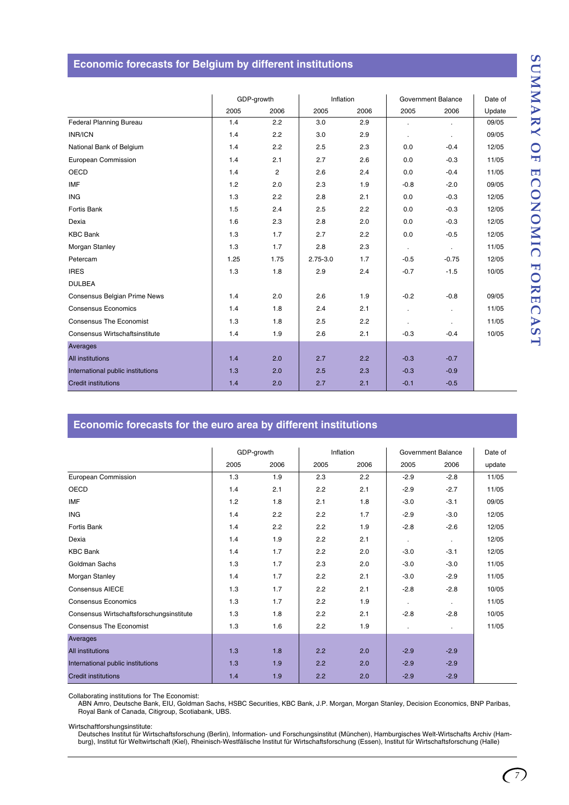# SUMMARY OF ECONOMIC FORECAST **SUMMARY OF ECONOMIC FORECAST**

## **Economic forecasts for Belgium by different institutions**

|                                   | GDP-growth |                | Inflation    |      | <b>Government Balance</b> |            | Date of |
|-----------------------------------|------------|----------------|--------------|------|---------------------------|------------|---------|
|                                   | 2005       | 2006           | 2005         | 2006 | 2005                      | 2006       | Update  |
| Federal Planning Bureau           | 1.4        | 2.2            | 3.0          | 2.9  | $\epsilon$                | $\bullet$  | 09/05   |
| <b>INR/ICN</b>                    | 1.4        | 2.2            | 3.0          | 2.9  | $\bullet$                 | $\epsilon$ | 09/05   |
| National Bank of Belgium          | 1.4        | 2.2            | 2.5          | 2.3  | 0.0                       | $-0.4$     | 12/05   |
| European Commission               | 1.4        | 2.1            | 2.7          | 2.6  | 0.0                       | $-0.3$     | 11/05   |
| <b>OECD</b>                       | 1.4        | $\overline{c}$ | 2.6          | 2.4  | 0.0                       | $-0.4$     | 11/05   |
| <b>IMF</b>                        | 1.2        | 2.0            | 2.3          | 1.9  | $-0.8$                    | $-2.0$     | 09/05   |
| <b>ING</b>                        | 1.3        | 2.2            | 2.8          | 2.1  | 0.0                       | $-0.3$     | 12/05   |
| Fortis Bank                       | 1.5        | 2.4            | 2.5          | 2.2  | 0.0                       | $-0.3$     | 12/05   |
| Dexia                             | 1.6        | 2.3            | 2.8          | 2.0  | 0.0                       | $-0.3$     | 12/05   |
| <b>KBC Bank</b>                   | 1.3        | 1.7            | 2.7          | 2.2  | 0.0                       | $-0.5$     | 12/05   |
| Morgan Stanley                    | 1.3        | 1.7            | 2.8          | 2.3  | $\sim$                    | ÷.         | 11/05   |
| Petercam                          | 1.25       | 1.75           | $2.75 - 3.0$ | 1.7  | $-0.5$                    | $-0.75$    | 12/05   |
| <b>IRES</b>                       | 1.3        | 1.8            | 2.9          | 2.4  | $-0.7$                    | $-1.5$     | 10/05   |
| <b>DULBEA</b>                     |            |                |              |      |                           |            |         |
| Consensus Belgian Prime News      | 1.4        | 2.0            | 2.6          | 1.9  | $-0.2$                    | $-0.8$     | 09/05   |
| <b>Consensus Economics</b>        | 1.4        | 1.8            | 2.4          | 2.1  | $\mathbf{r}$              | $\bullet$  | 11/05   |
| <b>Consensus The Economist</b>    | 1.3        | 1.8            | 2.5          | 2.2  | $\blacksquare$            | ÷.         | 11/05   |
| Consensus Wirtschaftsinstitute    | 1.4        | 1.9            | 2.6          | 2.1  | $-0.3$                    | $-0.4$     | 10/05   |
| Averages                          |            |                |              |      |                           |            |         |
| <b>All institutions</b>           | 1.4        | 2.0            | 2.7          | 2.2  | $-0.3$                    | $-0.7$     |         |
| International public institutions | 1.3        | 2.0            | 2.5          | 2.3  | $-0.3$                    | $-0.9$     |         |
| <b>Credit institutions</b>        | 1.4        | 2.0            | 2.7          | 2.1  | $-0.1$                    | $-0.5$     |         |

## **Economic forecasts for the euro area by different institutions**

|                                          | GDP-growth |      | Inflation |      | Government Balance |           | Date of |
|------------------------------------------|------------|------|-----------|------|--------------------|-----------|---------|
|                                          | 2005       | 2006 | 2005      | 2006 | 2005               | 2006      | update  |
| European Commission                      | 1.3        | 1.9  | 2.3       | 2.2  | $-2.9$             | $-2.8$    | 11/05   |
| OECD                                     | 1.4        | 2.1  | 2.2       | 2.1  | $-2.9$             | $-2.7$    | 11/05   |
| IMF                                      | $1.2$      | 1.8  | 2.1       | 1.8  | $-3.0$             | $-3.1$    | 09/05   |
| <b>ING</b>                               | 1.4        | 2.2  | 2.2       | 1.7  | $-2.9$             | $-3.0$    | 12/05   |
| Fortis Bank                              | 1.4        | 2.2  | 2.2       | 1.9  | $-2.8$             | $-2.6$    | 12/05   |
| Dexia                                    | 1.4        | 1.9  | 2.2       | 2.1  | $\sim$             | $\sim$    | 12/05   |
| <b>KBC Bank</b>                          | 1.4        | 1.7  | 2.2       | 2.0  | $-3.0$             | $-3.1$    | 12/05   |
| Goldman Sachs                            | 1.3        | 1.7  | 2.3       | 2.0  | $-3.0$             | $-3.0$    | 11/05   |
| Morgan Stanley                           | 1.4        | 1.7  | 2.2       | 2.1  | $-3.0$             | $-2.9$    | 11/05   |
| <b>Consensus AIECE</b>                   | 1.3        | 1.7  | 2.2       | 2.1  | $-2.8$             | $-2.8$    | 10/05   |
| <b>Consensus Economics</b>               | 1.3        | 1.7  | 2.2       | 1.9  | $\mathbf{r}$       | $\sim$    | 11/05   |
| Consensus Wirtschaftsforschungsinstitute | 1.3        | 1.8  | 2.2       | 2.1  | $-2.8$             | $-2.8$    | 10/05   |
| <b>Consensus The Economist</b>           | 1.3        | 1.6  | 2.2       | 1.9  |                    | $\bullet$ | 11/05   |
| Averages                                 |            |      |           |      |                    |           |         |
| <b>All institutions</b>                  | 1.3        | 1.8  | 2.2       | 2.0  | $-2.9$             | $-2.9$    |         |
| International public institutions        | 1.3        | 1.9  | 2.2       | 2.0  | $-2.9$             | $-2.9$    |         |
| <b>Credit institutions</b>               | 1.4        | 1.9  | 2.2       | 2.0  | $-2.9$             | $-2.9$    |         |

Collaborating institutions for The Economist:

ABN Amro, Deutsche Bank, EIU, Goldman Sachs, HSBC Securities, KBC Bank, J.P. Morgan, Morgan Stanley, Decision Economics, BNP Paribas,<br>Royal Bank of Canada, Citigroup, Scotiabank, UBS.

Wirtschaftforshungsinstitute:

Deutsches Institut für Wirtschaftsforschung (Berlin), Information- und Forschungsinstitut (München), Hamburgisches Welt-Wirtschafts Archiv (Ham-<br>burg), Institut für Weltwirtschaft (Kiel), Rheinisch-Westfälische Institut fü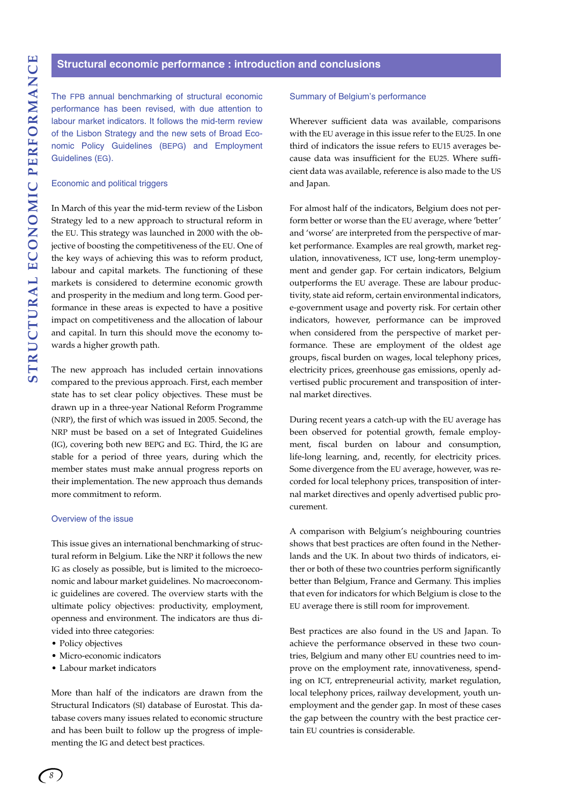#### **Structural economic performance : introduction and conclusions**

The FPB annual benchmarking of structural economic performance has been revised, with due attention to labour market indicators. It follows the mid-term review of the Lisbon Strategy and the new sets of Broad Economic Policy Guidelines (BEPG) and Employment Guidelines (EG).

#### Economic and political triggers

In March of this year the mid-term review of the Lisbon Strategy led to a new approach to structural reform in the EU. This strategy was launched in 2000 with the objective of boosting the competitiveness of the EU. One of the key ways of achieving this was to reform product, labour and capital markets. The functioning of these markets is considered to determine economic growth and prosperity in the medium and long term. Good performance in these areas is expected to have a positive impact on competitiveness and the allocation of labour and capital. In turn this should move the economy towards a higher growth path.

The new approach has included certain innovations compared to the previous approach. First, each member state has to set clear policy objectives. These must be drawn up in a three-year National Reform Programme (NRP), the first of which was issued in 2005. Second, the NRP must be based on a set of Integrated Guidelines (IG), covering both new BEPG and EG. Third, the IG are stable for a period of three years, during which the member states must make annual progress reports on their implementation. The new approach thus demands more commitment to reform.

#### Overview of the issue

This issue gives an international benchmarking of structural reform in Belgium. Like the NRP it follows the new IG as closely as possible, but is limited to the microeconomic and labour market guidelines. No macroeconomic guidelines are covered. The overview starts with the ultimate policy objectives: productivity, employment, openness and environment. The indicators are thus divided into three categories:

- Policy objectives
- Micro-economic indicators
- Labour market indicators

More than half of the indicators are drawn from the Structural Indicators (SI) database of Eurostat. This database covers many issues related to economic structure and has been built to follow up the progress of implementing the IG and detect best practices.

#### Summary of Belgium's performance

Wherever sufficient data was available, comparisons with the EU average in this issue refer to the EU25. In one third of indicators the issue refers to EU15 averages because data was insufficient for the EU25. Where sufficient data was available, reference is also made to the US and Japan.

For almost half of the indicators, Belgium does not perform better or worse than the EU average, where 'better' and 'worse' are interpreted from the perspective of market performance. Examples are real growth, market regulation, innovativeness, ICT use, long-term unemployment and gender gap. For certain indicators, Belgium outperforms the EU average. These are labour productivity, state aid reform, certain environmental indicators, e-government usage and poverty risk. For certain other indicators, however, performance can be improved when considered from the perspective of market performance. These are employment of the oldest age groups, fiscal burden on wages, local telephony prices, electricity prices, greenhouse gas emissions, openly advertised public procurement and transposition of internal market directives.

During recent years a catch-up with the EU average has been observed for potential growth, female employment, fiscal burden on labour and consumption, life-long learning, and, recently, for electricity prices. Some divergence from the EU average, however, was recorded for local telephony prices, transposition of internal market directives and openly advertised public procurement.

A comparison with Belgium's neighbouring countries shows that best practices are often found in the Netherlands and the UK. In about two thirds of indicators, either or both of these two countries perform significantly better than Belgium, France and Germany. This implies that even for indicators for which Belgium is close to the EU average there is still room for improvement.

Best practices are also found in the US and Japan. To achieve the performance observed in these two countries, Belgium and many other EU countries need to improve on the employment rate, innovativeness, spending on ICT, entrepreneurial activity, market regulation, local telephony prices, railway development, youth unemployment and the gender gap. In most of these cases the gap between the country with the best practice certain EU countries is considerable.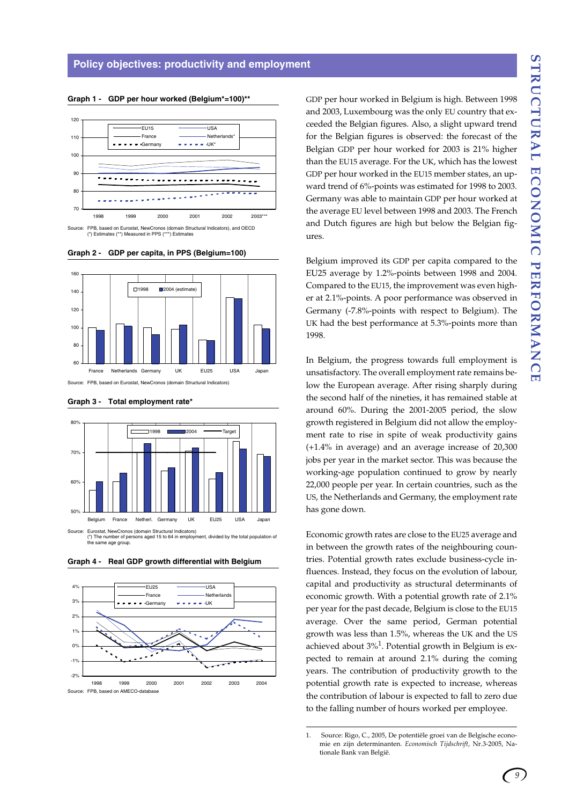120 EU15 <del>- U</del>SA France **Netherlands** Neth 110 Germany UK\* 100 90 - - - - - - - - - - -80 70 1998 1999 2000 2001 2002 2003\*\*\* Source: FPB, based on Eurostat, NewCronos (domain Structural Indicators), and OECD (\*) Estimates (\*\*) Measured in PPS (\*\*\*) Estimates

**Graph 1 - GDP per hour worked (Belgium\*=100)\*\***







**Graph 3 - Total employment rate\***

(\*) The number of persons aged 15 to 64 in employment, divided by the total population of the same age group.

**Graph 4 - Real GDP growth differential with Belgium**



GDP per hour worked in Belgium is high. Between 1998 and 2003, Luxembourg was the only EU country that exceeded the Belgian figures. Also, a slight upward trend for the Belgian figures is observed: the forecast of the Belgian GDP per hour worked for 2003 is 21% higher than the EU15 average. For the UK, which has the lowest GDP per hour worked in the EU15 member states, an upward trend of 6%-points was estimated for 1998 to 2003. Germany was able to maintain GDP per hour worked at the average EU level between 1998 and 2003. The French and Dutch figures are high but below the Belgian figures.

Belgium improved its GDP per capita compared to the EU25 average by 1.2%-points between 1998 and 2004. Compared to the EU15, the improvement was even higher at 2.1%-points. A poor performance was observed in Germany (-7.8%-points with respect to Belgium). The UK had the best performance at 5.3%-points more than 1998.

In Belgium, the progress towards full employment is unsatisfactory. The overall employment rate remains below the European average. After rising sharply during the second half of the nineties, it has remained stable at around 60%. During the 2001-2005 period, the slow growth registered in Belgium did not allow the employment rate to rise in spite of weak productivity gains (+1.4% in average) and an average increase of 20,300 jobs per year in the market sector. This was because the working-age population continued to grow by nearly 22,000 people per year. In certain countries, such as the US, the Netherlands and Germany, the employment rate has gone down.

Economic growth rates are close to the EU25 average and in between the growth rates of the neighbouring countries. Potential growth rates exclude business-cycle influences. Instead, they focus on the evolution of labour, capital and productivity as structural determinants of economic growth. With a potential growth rate of 2.1% per year for the past decade, Belgium is close to the EU15 average. Over the same period, German potential growth was less than 1.5%, whereas the UK and the US achieved about  $3\frac{1}{2}$ . Potential growth in Belgium is expected to remain at around 2.1% during the coming years. The contribution of productivity growth to the potential growth rate is expected to increase, whereas the contribution of labour is expected to fall to zero due to the falling number of hours worked per employee.

<sup>1.</sup> Source: Rigo, C., 2005, De potentiële groei van de Belgische economie en zijn determinanten. *Economisch Tijdschrift*, Nr.3-2005, Nationale Bank van België.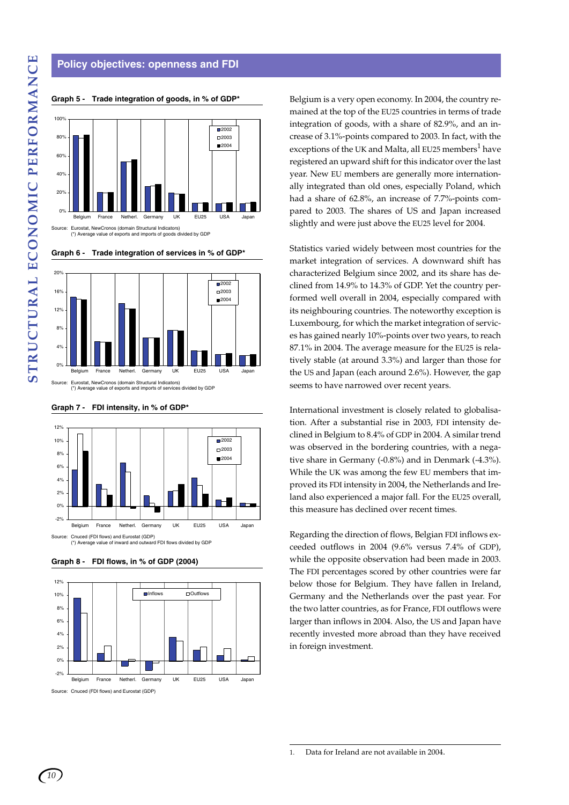#### **Policy objectives: openness and FDI**



**Graph 5 - Trade integration of goods, in % of GDP\***

**Graph 6 - Trade integration of services in % of GDP\***



**Graph 7 - FDI intensity, in % of GDP\***



**Graph 8 - FDI flows, in % of GDP (2004)**



Source: Cnuced (FDI flows) and Eurostat (GDP)

Belgium is a very open economy. In 2004, the country remained at the top of the EU25 countries in terms of trade integration of goods, with a share of 82.9%, and an increase of 3.1%-points compared to 2003. In fact, with the exceptions of the UK and Malta, all EU25 members<sup>1</sup> have registered an upward shift for this indicator over the last year. New EU members are generally more internationally integrated than old ones, especially Poland, which had a share of 62.8%, an increase of 7.7%-points compared to 2003. The shares of US and Japan increased slightly and were just above the EU25 level for 2004.

Statistics varied widely between most countries for the market integration of services. A downward shift has characterized Belgium since 2002, and its share has declined from 14.9% to 14.3% of GDP. Yet the country performed well overall in 2004, especially compared with its neighbouring countries. The noteworthy exception is Luxembourg, for which the market integration of services has gained nearly 10%-points over two years, to reach 87.1% in 2004. The average measure for the EU25 is relatively stable (at around 3.3%) and larger than those for the US and Japan (each around 2.6%). However, the gap seems to have narrowed over recent years.

International investment is closely related to globalisation. After a substantial rise in 2003, FDI intensity declined in Belgium to 8.4% of GDP in 2004. A similar trend was observed in the bordering countries, with a negative share in Germany (-0.8%) and in Denmark (-4.3%). While the UK was among the few EU members that improved its FDI intensity in 2004, the Netherlands and Ireland also experienced a major fall. For the EU25 overall, this measure has declined over recent times.

Regarding the direction of flows, Belgian FDI inflows exceeded outflows in 2004 (9.6% versus 7.4% of GDP), while the opposite observation had been made in 2003. The FDI percentages scored by other countries were far below those for Belgium. They have fallen in Ireland, Germany and the Netherlands over the past year. For the two latter countries, as for France, FDI outflows were larger than inflows in 2004. Also, the US and Japan have recently invested more abroad than they have received in foreign investment.

1. Data for Ireland are not available in 2004.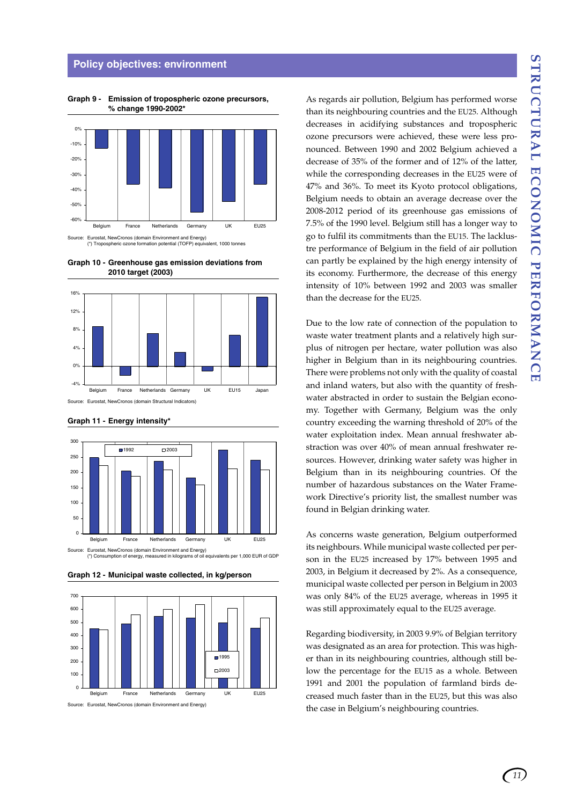#### **Policy objectives: environment**

-60% -50% -40% -30% -20% -10% 0% **Belgium France Netherlands Germany UK EU25** 

**Graph 9 - Emission of tropospheric ozone precursors, % change 1990-2002\***

**Graph 10 - Greenhouse gas emission deviations from 2010 target (2003)**

Source: Eurostat, NewCronos (domain Environment and Energy) (\*) Tropospheric ozone formation potential (TOFP) equivalent, 1000 tonnes







Source: Eurostat, NewCronos (domain Environment and Energy) (\*) Consumption of energy, measured in kilograms of oil equivalents per 1,000 EUR of GDP





Source: Eurostat, NewCronos (domain Environment and Energy)

As regards air pollution, Belgium has performed worse than its neighbouring countries and the EU25. Although decreases in acidifying substances and tropospheric ozone precursors were achieved, these were less pronounced. Between 1990 and 2002 Belgium achieved a decrease of 35% of the former and of 12% of the latter, while the corresponding decreases in the EU25 were of 47% and 36%. To meet its Kyoto protocol obligations, Belgium needs to obtain an average decrease over the 2008-2012 period of its greenhouse gas emissions of 7.5% of the 1990 level. Belgium still has a longer way to go to fulfil its commitments than the EU15. The lacklustre performance of Belgium in the field of air pollution can partly be explained by the high energy intensity of its economy. Furthermore, the decrease of this energy intensity of 10% between 1992 and 2003 was smaller than the decrease for the EU25.

Due to the low rate of connection of the population to waste water treatment plants and a relatively high surplus of nitrogen per hectare, water pollution was also higher in Belgium than in its neighbouring countries. There were problems not only with the quality of coastal and inland waters, but also with the quantity of freshwater abstracted in order to sustain the Belgian economy. Together with Germany, Belgium was the only country exceeding the warning threshold of 20% of the water exploitation index. Mean annual freshwater abstraction was over 40% of mean annual freshwater resources. However, drinking water safety was higher in Belgium than in its neighbouring countries. Of the number of hazardous substances on the Water Framework Directive's priority list, the smallest number was found in Belgian drinking water.

As concerns waste generation, Belgium outperformed its neighbours. While municipal waste collected per person in the EU25 increased by 17% between 1995 and 2003, in Belgium it decreased by 2%. As a consequence, municipal waste collected per person in Belgium in 2003 was only 84% of the EU25 average, whereas in 1995 it was still approximately equal to the EU25 average.

Regarding biodiversity, in 2003 9.9% of Belgian territory was designated as an area for protection. This was higher than in its neighbouring countries, although still below the percentage for the EU15 as a whole. Between 1991 and 2001 the population of farmland birds decreased much faster than in the EU25, but this was also the case in Belgium's neighbouring countries.

*11*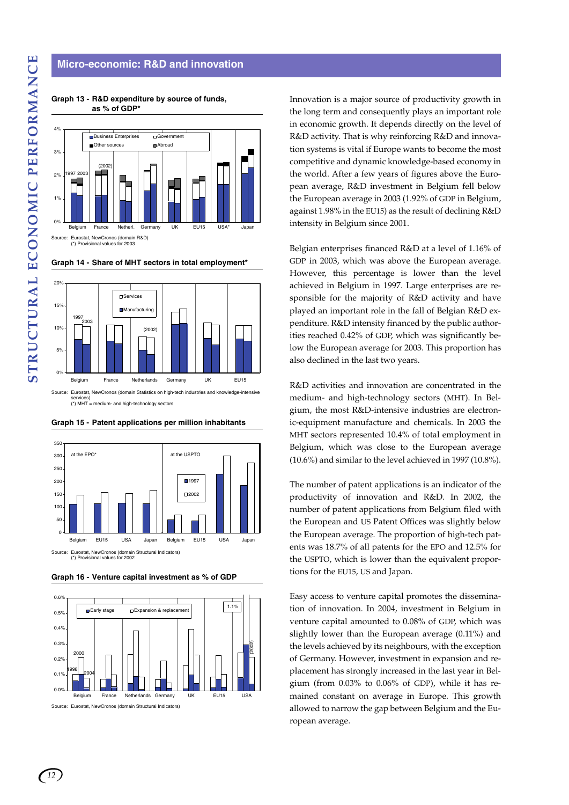#### **Micro-economic: R&D and innovation**



**Graph 13 - R&D expenditure by source of funds, as % of GDP\***

**Graph 14 - Share of MHT sectors in total employment\***



services) (\*) MHT = medium- and high-technology sectors





**Graph 16 - Venture capital investment as % of GDP**



Source: Eurostat, NewCronos (domain Structural Indicators)

Innovation is a major source of productivity growth in the long term and consequently plays an important role in economic growth. It depends directly on the level of R&D activity. That is why reinforcing R&D and innovation systems is vital if Europe wants to become the most competitive and dynamic knowledge-based economy in the world. After a few years of figures above the European average, R&D investment in Belgium fell below the European average in 2003 (1.92% of GDP in Belgium, against 1.98% in the EU15) as the result of declining R&D intensity in Belgium since 2001.

Belgian enterprises financed R&D at a level of 1.16% of GDP in 2003, which was above the European average. However, this percentage is lower than the level achieved in Belgium in 1997. Large enterprises are responsible for the majority of R&D activity and have played an important role in the fall of Belgian R&D expenditure. R&D intensity financed by the public authorities reached 0.42% of GDP, which was significantly below the European average for 2003. This proportion has also declined in the last two years.

R&D activities and innovation are concentrated in the medium- and high-technology sectors (MHT). In Belgium, the most R&D-intensive industries are electronic-equipment manufacture and chemicals. In 2003 the MHT sectors represented 10.4% of total employment in Belgium, which was close to the European average (10.6%) and similar to the level achieved in 1997 (10.8%).

The number of patent applications is an indicator of the productivity of innovation and R&D. In 2002, the number of patent applications from Belgium filed with the European and US Patent Offices was slightly below the European average. The proportion of high-tech patents was 18.7% of all patents for the EPO and 12.5% for the USPTO, which is lower than the equivalent proportions for the EU15, US and Japan.

Easy access to venture capital promotes the dissemination of innovation. In 2004, investment in Belgium in venture capital amounted to 0.08% of GDP, which was slightly lower than the European average (0.11%) and the levels achieved by its neighbours, with the exception of Germany. However, investment in expansion and replacement has strongly increased in the last year in Belgium (from 0.03% to 0.06% of GDP), while it has remained constant on average in Europe. This growth allowed to narrow the gap between Belgium and the European average.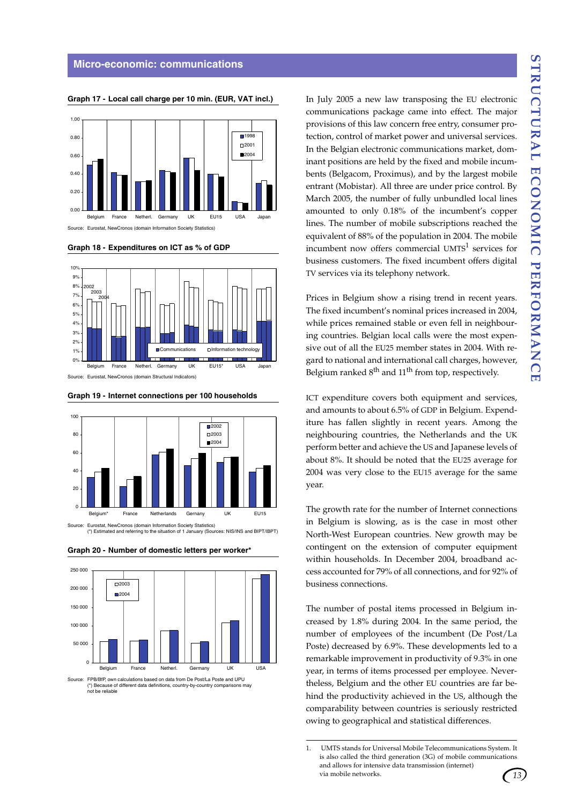

**Graph 17 - Local call charge per 10 min. (EUR, VAT incl.)**

**Graph 18 - Expenditures on ICT as % of GDP**



Source: Eurostat, NewCronos (domain Structural Indicators)



(\*) Estimated and referring to the situation of 1 January (Sources: NIS/INS and BIPT/IBPT)

**Graph 19 - Internet connections per 100 households**

**Graph 20 - Number of domestic letters per worker\***



Source: FPB/BfP, own calculations based on data from De Post/La Poste and UPU (\*) Because of different data definitions, country-by-country comparisons may not be reliable<br>not be reliable

In July 2005 a new law transposing the EU electronic communications package came into effect. The major provisions of this law concern free entry, consumer protection, control of market power and universal services. In the Belgian electronic communications market, dominant positions are held by the fixed and mobile incumbents (Belgacom, Proximus), and by the largest mobile entrant (Mobistar). All three are under price control. By March 2005, the number of fully unbundled local lines amounted to only 0.18% of the incumbent's copper lines. The number of mobile subscriptions reached the equivalent of 88% of the population in 2004. The mobile incumbent now offers commercial  $UMTS<sup>1</sup>$  services for business customers. The fixed incumbent offers digital TV services via its telephony network.

Prices in Belgium show a rising trend in recent years. The fixed incumbent's nominal prices increased in 2004, while prices remained stable or even fell in neighbouring countries. Belgian local calls were the most expensive out of all the EU25 member states in 2004. With regard to national and international call charges, however, Belgium ranked  $8<sup>th</sup>$  and  $11<sup>th</sup>$  from top, respectively.

ICT expenditure covers both equipment and services, and amounts to about 6.5% of GDP in Belgium. Expenditure has fallen slightly in recent years. Among the neighbouring countries, the Netherlands and the UK perform better and achieve the US and Japanese levels of about 8%. It should be noted that the EU25 average for 2004 was very close to the EU15 average for the same year.

The growth rate for the number of Internet connections in Belgium is slowing, as is the case in most other North-West European countries. New growth may be contingent on the extension of computer equipment within households. In December 2004, broadband access accounted for 79% of all connections, and for 92% of business connections.

The number of postal items processed in Belgium increased by 1.8% during 2004. In the same period, the number of employees of the incumbent (De Post/La Poste) decreased by 6.9%. These developments led to a remarkable improvement in productivity of 9.3% in one year, in terms of items processed per employee. Nevertheless, Belgium and the other EU countries are far behind the productivity achieved in the US, although the comparability between countries is seriously restricted owing to geographical and statistical differences.



<sup>1.</sup> UMTS stands for Universal Mobile Telecommunications System. It is also called the third generation (3G) of mobile communications and allows for intensive data transmission (internet) via mobile networks.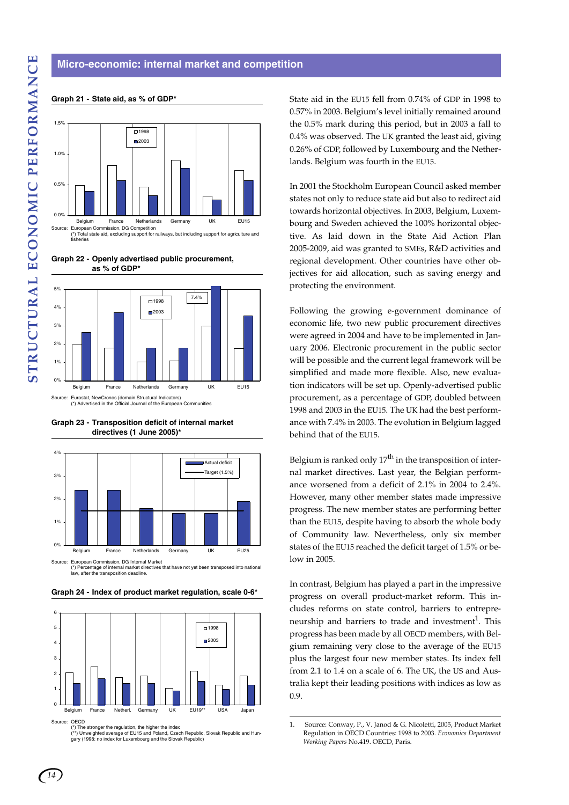# Source: European Commission, DG Competition (\*) Total state aid, excluding support for railways, but including support for agriculture and 0.0% 0.5% 1.0% 1.5% Belgium France Netherlands Germany UK EU15 D<sub>1998</sub> **m**2003

**Graph 21 - State aid, as % of GDP\***



**Graph 22 - Openly advertised public procurement, as % of GDP\***



**Graph 23 - Transposition deficit of internal market directives (1 June 2005)\***



w, after the transposition deadline

**Graph 24 - Index of product market regulation, scale 0-6\***



Source: OECD<br>(\*) The stronger the regulation, the higher the index<br>(\*\*) Unweighted average of EU15 and Poland, Czech Republic, Slovak Republic and Hun-<br>(ary (1998: no index for Luxembourg and the Slovak Republic)

State aid in the EU15 fell from 0.74% of GDP in 1998 to 0.57% in 2003. Belgium's level initially remained around the 0.5% mark during this period, but in 2003 a fall to 0.4% was observed. The UK granted the least aid, giving 0.26% of GDP, followed by Luxembourg and the Netherlands. Belgium was fourth in the EU15.

In 2001 the Stockholm European Council asked member states not only to reduce state aid but also to redirect aid towards horizontal objectives. In 2003, Belgium, Luxembourg and Sweden achieved the 100% horizontal objective. As laid down in the State Aid Action Plan 2005-2009, aid was granted to SMEs, R&D activities and regional development. Other countries have other objectives for aid allocation, such as saving energy and protecting the environment.

Following the growing e-government dominance of economic life, two new public procurement directives were agreed in 2004 and have to be implemented in January 2006. Electronic procurement in the public sector will be possible and the current legal framework will be simplified and made more flexible. Also, new evaluation indicators will be set up. Openly-advertised public procurement, as a percentage of GDP, doubled between 1998 and 2003 in the EU15. The UK had the best performance with 7.4% in 2003. The evolution in Belgium lagged behind that of the EU15.

Belgium is ranked only  $17<sup>th</sup>$  in the transposition of internal market directives. Last year, the Belgian performance worsened from a deficit of 2.1% in 2004 to 2.4%. However, many other member states made impressive progress. The new member states are performing better than the EU15, despite having to absorb the whole body of Community law. Nevertheless, only six member states of the EU15 reached the deficit target of 1.5% or below in 2005.

In contrast, Belgium has played a part in the impressive progress on overall product-market reform. This includes reforms on state control, barriers to entrepreneurship and barriers to trade and investment<sup>1</sup>. This progress has been made by all OECD members, with Belgium remaining very close to the average of the EU15 plus the largest four new member states. Its index fell from 2.1 to 1.4 on a scale of 6. The UK, the US and Australia kept their leading positions with indices as low as 0.9.

<sup>1.</sup> Source: Conway, P., V. Janod & G. Nicoletti, 2005, Product Market Regulation in OECD Countries: 1998 to 2003. *Economics Department Working Papers* No.419. OECD, Paris.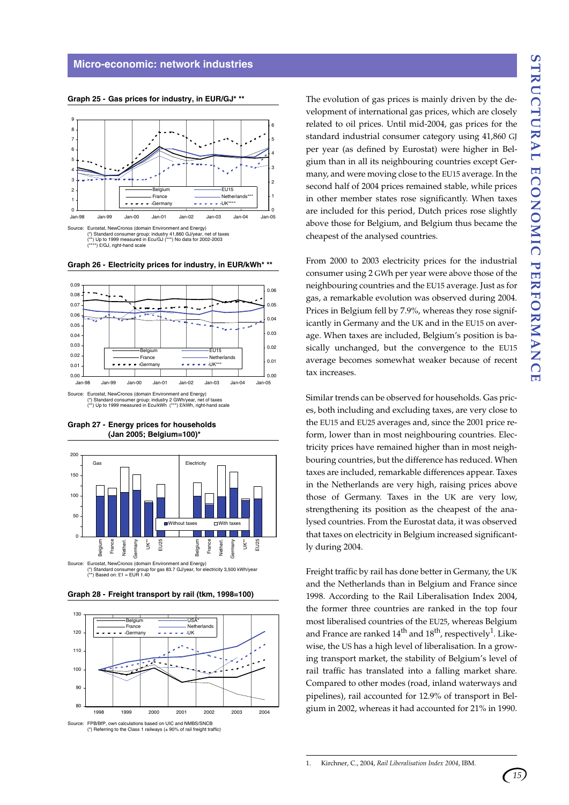

**Graph 25 - Gas prices for industry, in EUR/GJ\* \*\***

Source: Eurostat, NewCronos (domain Environment and Energy) (\*) Standard consumer group: industry 41,860 GJ/year, net of taxes  $(*)$  Up to 1999 measured in Ecu/GJ (

\*\*) £/GJ, right-hand scale

**Graph 26 - Electricity prices for industry, in EUR/kWh\* \*\***



(\*) Standard consumer group: industry 2 GWh/year, net of taxes (\*\*) Up to 1999 measured in Ecu/kWh (\*\*\*) £/kWh, right-hand scale





**Graph 28 - Freight transport by rail (tkm, 1998=100)**





The evolution of gas prices is mainly driven by the development of international gas prices, which are closely related to oil prices. Until mid-2004, gas prices for the standard industrial consumer category using 41,860 GJ per year (as defined by Eurostat) were higher in Belgium than in all its neighbouring countries except Germany, and were moving close to the EU15 average. In the second half of 2004 prices remained stable, while prices in other member states rose significantly. When taxes are included for this period, Dutch prices rose slightly above those for Belgium, and Belgium thus became the cheapest of the analysed countries.

From 2000 to 2003 electricity prices for the industrial consumer using 2 GWh per year were above those of the neighbouring countries and the EU15 average. Just as for gas, a remarkable evolution was observed during 2004. Prices in Belgium fell by 7.9%, whereas they rose significantly in Germany and the UK and in the EU15 on average. When taxes are included, Belgium's position is basically unchanged, but the convergence to the EU15 average becomes somewhat weaker because of recent tax increases.

Similar trends can be observed for households. Gas prices, both including and excluding taxes, are very close to the EU15 and EU25 averages and, since the 2001 price reform, lower than in most neighbouring countries. Electricity prices have remained higher than in most neighbouring countries, but the difference has reduced. When taxes are included, remarkable differences appear. Taxes in the Netherlands are very high, raising prices above those of Germany. Taxes in the UK are very low, strengthening its position as the cheapest of the analysed countries. From the Eurostat data, it was observed that taxes on electricity in Belgium increased significantly during 2004.

Freight traffic by rail has done better in Germany, the UK and the Netherlands than in Belgium and France since 1998. According to the Rail Liberalisation Index 2004, the former three countries are ranked in the top four most liberalised countries of the EU25, whereas Belgium and France are ranked  $14<sup>th</sup>$  and  $18<sup>th</sup>$ , respectively<sup>1</sup>. Likewise, the US has a high level of liberalisation. In a growing transport market, the stability of Belgium's level of rail traffic has translated into a falling market share. Compared to other modes (road, inland waterways and pipelines), rail accounted for 12.9% of transport in Belgium in 2002, whereas it had accounted for 21% in 1990.

<sup>1.</sup> Kirchner, C., 2004, *Rail Liberalisation Index 2004*, IBM.

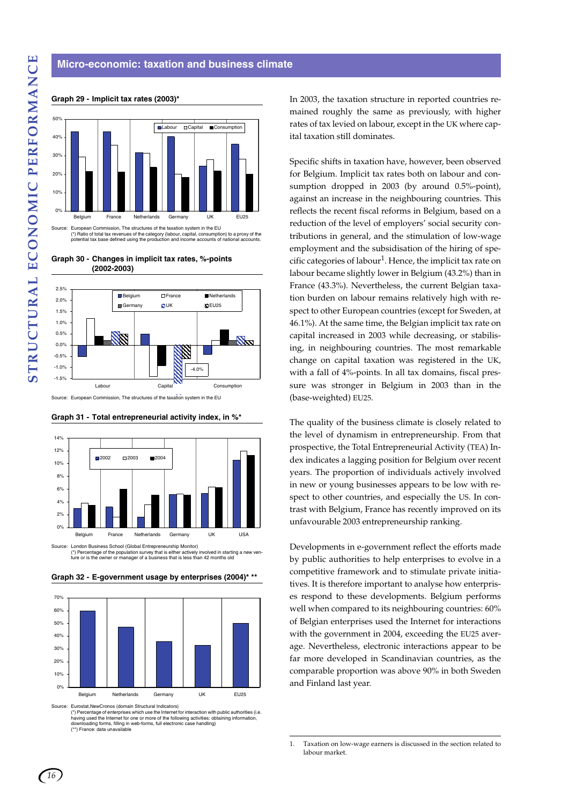#### **Micro-economic: taxation and business climate**



#### **Graph 29 - Implicit tax rates (2003)\***

**Graph 30 - Changes in implicit tax rates, %-points (2002-2003)**



Source: European Commission, The structures of the taxation system in the EU

#### **Graph 31 - Total entrepreneurial activity index, in %\***



(\*) Percentage of the population survey that is either actively involved in starting a new ven-ture or is the owner or manager of a business that is less than 42 months old



**Graph 32 - E-government usage by enterprises (2004)\* \*\***

Source: Eurostat,NewCronos (domain Structural Indicators)

(\*) Percentage of enterprises which use the Internet for interaction with public authorities (i.e.<br>having used the Internet for one or more of the feature and internet for intervention having used the Internet for one or more of the following activities: obtaining information,<br>downloading forms, filling in web-forms, full electronic case handling)<br>(\*\*) France: data unavailable

In 2003, the taxation structure in reported countries remained roughly the same as previously, with higher rates of tax levied on labour, except in the UK where capital taxation still dominates.

Specific shifts in taxation have, however, been observed for Belgium. Implicit tax rates both on labour and consumption dropped in 2003 (by around 0.5%-point), against an increase in the neighbouring countries. This reflects the recent fiscal reforms in Belgium, based on a reduction of the level of employers' social security contributions in general, and the stimulation of low-wage employment and the subsidisation of the hiring of specific categories of labour<sup>1</sup>. Hence, the implicit tax rate on labour became slightly lower in Belgium (43.2%) than in France (43.3%). Nevertheless, the current Belgian taxation burden on labour remains relatively high with respect to other European countries (except for Sweden, at 46.1%). At the same time, the Belgian implicit tax rate on capital increased in 2003 while decreasing, or stabilising, in neighbouring countries. The most remarkable change on capital taxation was registered in the UK, with a fall of 4%-points. In all tax domains, fiscal pressure was stronger in Belgium in 2003 than in the (base-weighted) EU25.

The quality of the business climate is closely related to the level of dynamism in entrepreneurship. From that prospective, the Total Entrepreneurial Activity (TEA) Index indicates a lagging position for Belgium over recent years. The proportion of individuals actively involved in new or young businesses appears to be low with respect to other countries, and especially the US. In contrast with Belgium, France has recently improved on its unfavourable 2003 entrepreneurship ranking.

Developments in e-government reflect the efforts made by public authorities to help enterprises to evolve in a competitive framework and to stimulate private initiatives. It is therefore important to analyse how enterprises respond to these developments. Belgium performs well when compared to its neighbouring countries: 60% of Belgian enterprises used the Internet for interactions with the government in 2004, exceeding the EU25 average. Nevertheless, electronic interactions appear to be far more developed in Scandinavian countries, as the comparable proportion was above 90% in both Sweden and Finland last year.

1. Taxation on low-wage earners is discussed in the section related to labour market.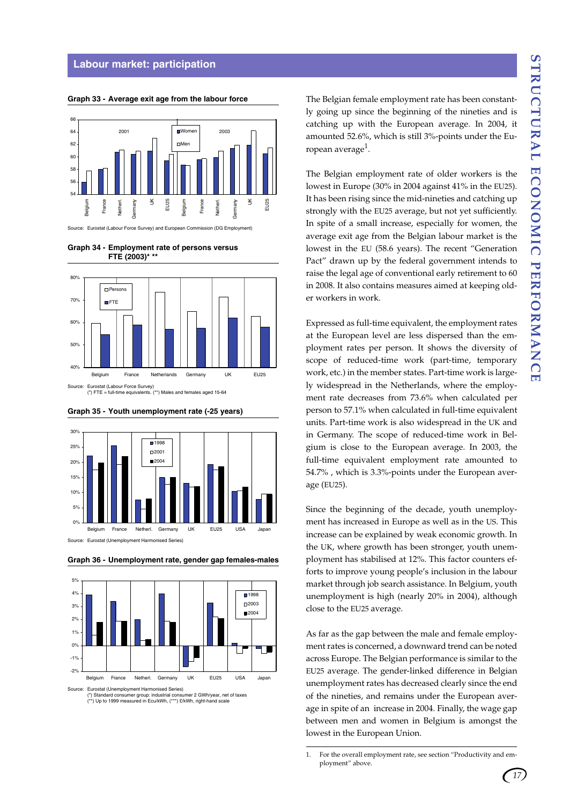#### **Labour market: participation**

**Graph 33 - Average exit age from the labour force**

54 56 58  $60$  $62$ 64 66 Belgium France Netherl. Germany  $\leq$ EU25 Belgium France Netherl. Germany  $\geq$ EU25 Women 2001 2003 **DMer** 

Source: Eurostat (Labour Force Survey) and Europ







**Graph 35 - Youth unemployment rate (-25 years)**

**Graph 36 - Unemployment rate, gender gap females-males**



Source: Eurostat (Unemployment Harmonised Series)<br>(\*) Standard consumer group: industrial consumer 2 GWh/year, net of taxes)<br>(\*\*) Up to 1999 measured in Ecu/kWh, (\*\*\*) £/kWh, right-hand scale

The Belgian female employment rate has been constantly going up since the beginning of the nineties and is catching up with the European average. In 2004, it amounted 52.6%, which is still 3%-points under the European average $^1$ .

The Belgian employment rate of older workers is the lowest in Europe (30% in 2004 against 41% in the EU25). It has been rising since the mid-nineties and catching up strongly with the EU25 average, but not yet sufficiently. In spite of a small increase, especially for women, the average exit age from the Belgian labour market is the lowest in the EU (58.6 years). The recent "Generation Pact" drawn up by the federal government intends to raise the legal age of conventional early retirement to 60 in 2008. It also contains measures aimed at keeping older workers in work.

Expressed as full-time equivalent, the employment rates at the European level are less dispersed than the employment rates per person. It shows the diversity of scope of reduced-time work (part-time, temporary work, etc.) in the member states. Part-time work is largely widespread in the Netherlands, where the employment rate decreases from 73.6% when calculated per person to 57.1% when calculated in full-time equivalent units. Part-time work is also widespread in the UK and in Germany. The scope of reduced-time work in Belgium is close to the European average. In 2003, the full-time equivalent employment rate amounted to 54.7% , which is 3.3%-points under the European average (EU25).

Since the beginning of the decade, youth unemployment has increased in Europe as well as in the US. This increase can be explained by weak economic growth. In the UK, where growth has been stronger, youth unemployment has stabilised at 12%. This factor counters efforts to improve young people's inclusion in the labour market through job search assistance. In Belgium, youth unemployment is high (nearly 20% in 2004), although close to the EU25 average.

As far as the gap between the male and female employment rates is concerned, a downward trend can be noted across Europe. The Belgian performance is similar to the EU25 average. The gender-linked difference in Belgian unemployment rates has decreased clearly since the end of the nineties, and remains under the European average in spite of an increase in 2004. Finally, the wage gap between men and women in Belgium is amongst the lowest in the European Union.

<sup>1.</sup> For the overall employment rate, see section "Productivity and employment" above.

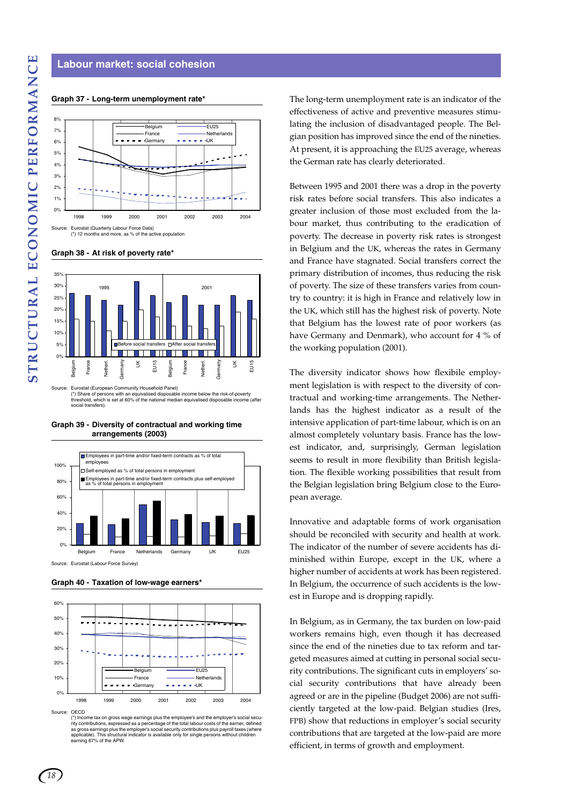#### **Labour market: social cohesion**

#### **Graph 37 - Long-term unemployment rate\***



**Graph 38 - At risk of poverty rate\***



(\*) Share of persons with an equivalised disposable income below the risk-of-poverty threshold, which is set at 60% of the national median equivalised disposable income (after social transfers).

**Graph 39 - Diversity of contractual and working time arrangements (2003)**



Source: Eurostat (Labour Force Survey)

**Graph 40 - Taxation of low-wage earners\***



Source: OECD

(\*) Income tax on gross wage earnings plus the employee's and the employer's social secu-<br>rity contributions, expressed as a percentage of the total labour costs of the earner, defined<br>as gross earnings plus the employer's rity contributions, expressed as a percent<br>as gross earnings plus the employer's sore<br>applicable). This structural indicator is a<br>earning 67% of the APW.

The long-term unemployment rate is an indicator of the effectiveness of active and preventive measures stimulating the inclusion of disadvantaged people. The Belgian position has improved since the end of the nineties. At present, it is approaching the EU25 average, whereas the German rate has clearly deteriorated.

Between 1995 and 2001 there was a drop in the poverty risk rates before social transfers. This also indicates a greater inclusion of those most excluded from the labour market, thus contributing to the eradication of poverty. The decrease in poverty risk rates is strongest in Belgium and the UK, whereas the rates in Germany and France have stagnated. Social transfers correct the primary distribution of incomes, thus reducing the risk of poverty. The size of these transfers varies from country to country: it is high in France and relatively low in the UK, which still has the highest risk of poverty. Note that Belgium has the lowest rate of poor workers (as have Germany and Denmark), who account for 4 % of the working population (2001).

The diversity indicator shows how flexibile employment legislation is with respect to the diversity of contractual and working-time arrangements. The Netherlands has the highest indicator as a result of the intensive application of part-time labour, which is on an almost completely voluntary basis. France has the lowest indicator, and, surprisingly, German legislation seems to result in more flexibility than British legislation. The flexible working possibilities that result from the Belgian legislation bring Belgium close to the European average.

Innovative and adaptable forms of work organisation should be reconciled with security and health at work. The indicator of the number of severe accidents has diminished within Europe, except in the UK, where a higher number of accidents at work has been registered. In Belgium, the occurrence of such accidents is the lowest in Europe and is dropping rapidly.

In Belgium, as in Germany, the tax burden on low-paid workers remains high, even though it has decreased since the end of the nineties due to tax reform and targeted measures aimed at cutting in personal social security contributions. The significant cuts in employers' social security contributions that have already been agreed or are in the pipeline (Budget 2006) are not sufficiently targeted at the low-paid. Belgian studies (Ires, FPB) show that reductions in employer's social security contributions that are targeted at the low-paid are more efficient, in terms of growth and employment.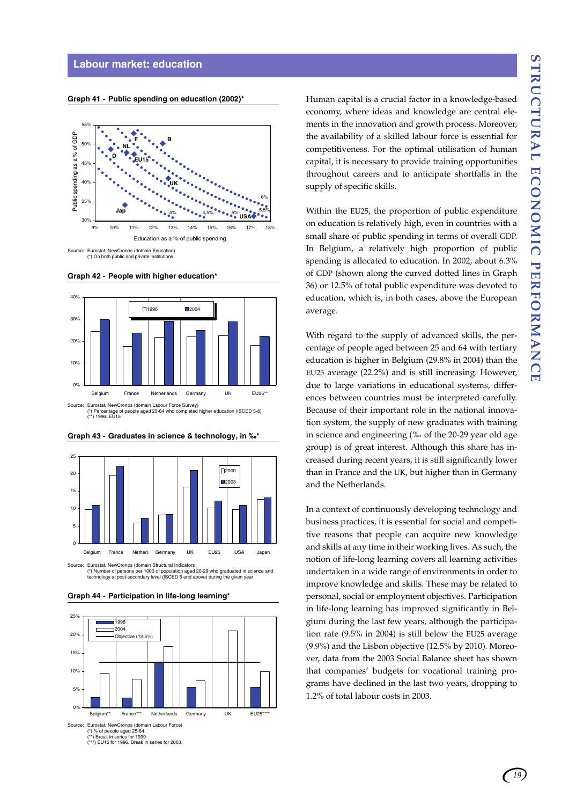#### **Labour market: education**

**Graph 41 - Public spending on education (2002)\***



(\*) On both public and private institutions

**Graph 42 - People with higher education\***



(\*) Percentage of people aged 25-64 who completed higher education (ISCED 5-6) (\*\*) 1996: EU15



**Graph 43 - Graduates in science & technology, in ‰\***

Source: Eurostat, NewCronos (domain Structural Indicators<br>(\*) Number of persons per 1000 of population aged 20-29 who graduated in science and<br>technology at post-secondary level (ISCED 5 and above) during the given year

**Graph 44 - Participation in life-long learning\***



Human capital is a crucial factor in a knowledge-based economy, where ideas and knowledge are central elements in the innovation and growth process. Moreover, the availability of a skilled labour force is essential for competitiveness. For the optimal utilisation of human capital, it is necessary to provide training opportunities throughout careers and to anticipate shortfalls in the supply of specific skills.

Within the EU25, the proportion of public expenditure on education is relatively high, even in countries with a small share of public spending in terms of overall GDP. In Belgium, a relatively high proportion of public spending is allocated to education. In 2002, about 6.3% of GDP (shown along the curved dotted lines in Graph 36) or 12.5% of total public expenditure was devoted to education, which is, in both cases, above the European average.

With regard to the supply of advanced skills, the percentage of people aged between 25 and 64 with tertiary education is higher in Belgium (29.8% in 2004) than the EU25 average (22.2%) and is still increasing. However, due to large variations in educational systems, differences between countries must be interpreted carefully. Because of their important role in the national innovation system, the supply of new graduates with training in science and engineering (‰ of the 20-29 year old age group) is of great interest. Although this share has increased during recent years, it is still significantly lower than in France and the UK, but higher than in Germany and the Netherlands.

In a context of continuously developing technology and business practices, it is essential for social and competitive reasons that people can acquire new knowledge and skills at any time in their working lives. As such, the notion of life-long learning covers all learning activities undertaken in a wide range of environments in order to improve knowledge and skills. These may be related to personal, social or employment objectives. Participation in life-long learning has improved significantly in Belgium during the last few years, although the participation rate (9.5% in 2004) is still below the EU25 average (9.9%) and the Lisbon objective (12.5% by 2010). Moreover, data from the 2003 Social Balance sheet has shown that companies' budgets for vocational training programs have declined in the last two years, dropping to 1.2% of total labour costs in 2003.

*19*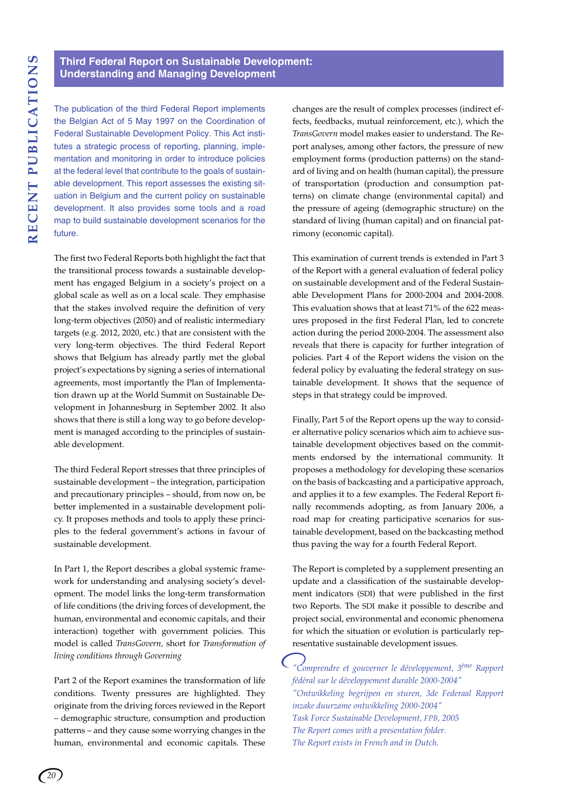### **Third Federal Report on Sustainable Development: Understanding and Managing Development**

The publication of the third Federal Report implements the Belgian Act of 5 May 1997 on the Coordination of Federal Sustainable Development Policy. This Act institutes a strategic process of reporting, planning, implementation and monitoring in order to introduce policies at the federal level that contribute to the goals of sustainable development. This report assesses the existing situation in Belgium and the current policy on sustainable development. It also provides some tools and a road map to build sustainable development scenarios for the future.

The first two Federal Reports both highlight the fact that the transitional process towards a sustainable development has engaged Belgium in a society's project on a global scale as well as on a local scale. They emphasise that the stakes involved require the definition of very long-term objectives (2050) and of realistic intermediary targets (e.g. 2012, 2020, etc.) that are consistent with the very long-term objectives. The third Federal Report shows that Belgium has already partly met the global project's expectations by signing a series of international agreements, most importantly the Plan of Implementation drawn up at the World Summit on Sustainable Development in Johannesburg in September 2002. It also shows that there is still a long way to go before development is managed according to the principles of sustainable development.

The third Federal Report stresses that three principles of sustainable development – the integration, participation and precautionary principles – should, from now on, be better implemented in a sustainable development policy. It proposes methods and tools to apply these principles to the federal government's actions in favour of sustainable development.

In Part 1, the Report describes a global systemic framework for understanding and analysing society's development. The model links the long-term transformation of life conditions (the driving forces of development, the human, environmental and economic capitals, and their interaction) together with government policies. This model is called *TransGovern,* short for *Transformation of living conditions through Governing*

Part 2 of the Report examines the transformation of life conditions. Twenty pressures are highlighted. They originate from the driving forces reviewed in the Report – demographic structure, consumption and production patterns – and they cause some worrying changes in the human, environmental and economic capitals. These changes are the result of complex processes (indirect effects, feedbacks, mutual reinforcement, etc.), which the *TransGovern* model makes easier to understand. The Report analyses, among other factors, the pressure of new employment forms (production patterns) on the standard of living and on health (human capital), the pressure of transportation (production and consumption patterns) on climate change (environmental capital) and the pressure of ageing (demographic structure) on the standard of living (human capital) and on financial patrimony (economic capital).

This examination of current trends is extended in Part 3 of the Report with a general evaluation of federal policy on sustainable development and of the Federal Sustainable Development Plans for 2000-2004 and 2004-2008. This evaluation shows that at least 71% of the 622 measures proposed in the first Federal Plan, led to concrete action during the period 2000-2004. The assessment also reveals that there is capacity for further integration of policies. Part 4 of the Report widens the vision on the federal policy by evaluating the federal strategy on sustainable development. It shows that the sequence of steps in that strategy could be improved.

Finally, Part 5 of the Report opens up the way to consider alternative policy scenarios which aim to achieve sustainable development objectives based on the commitments endorsed by the international community. It proposes a methodology for developing these scenarios on the basis of backcasting and a participative approach, and applies it to a few examples. The Federal Report finally recommends adopting, as from January 2006, a road map for creating participative scenarios for sustainable development, based on the backcasting method thus paving the way for a fourth Federal Report.

The Report is completed by a supplement presenting an update and a classification of the sustainable development indicators (SDI) that were published in the first two Reports. The SDI make it possible to describe and project social, environmental and economic phenomena for which the situation or evolution is particularly representative sustainable development issues.

*"Comprendre et gouverner le développement, 3ème Rapport fédéral sur le développement durable 2000-2004" "Ontwikkeling begrijpen en sturen, 3de Federaal Rapport inzake duurzame ontwikkeling 2000-2004" Task Force Sustainable Development, FPB, 2005 The Report comes with a presentation folder. The Report exists in French and in Dutch.*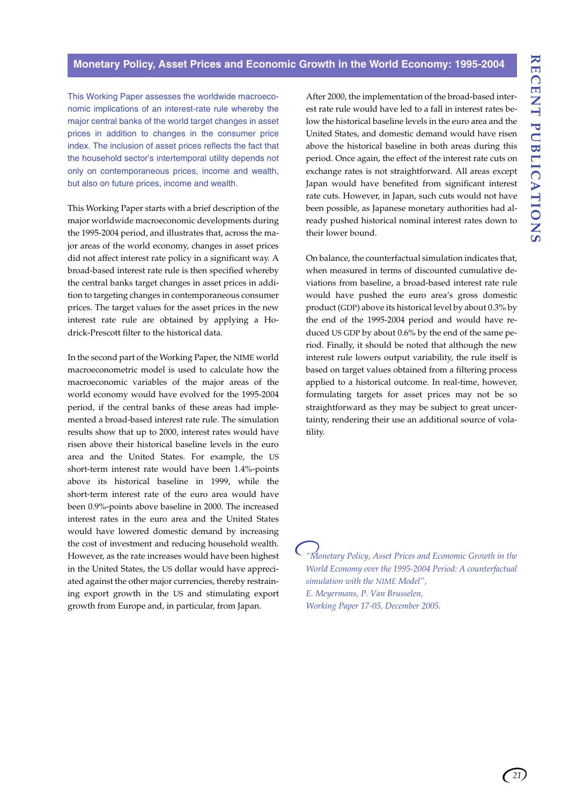#### **Monetary Policy, Asset Prices and Economic Growth in the World Economy: 1995-2004**

This Working Paper assesses the worldwide macroeconomic implications of an interest-rate rule whereby the major central banks of the world target changes in asset prices in addition to changes in the consumer price index. The inclusion of asset prices reflects the fact that the household sector's intertemporal utility depends not only on contemporaneous prices, income and wealth, but also on future prices, income and wealth.

This Working Paper starts with a brief description of the major worldwide macroeconomic developments during the 1995-2004 period, and illustrates that, across the major areas of the world economy, changes in asset prices did not affect interest rate policy in a significant way. A broad-based interest rate rule is then specified whereby the central banks target changes in asset prices in addition to targeting changes in contemporaneous consumer prices. The target values for the asset prices in the new interest rate rule are obtained by applying a Hodrick-Prescott filter to the historical data.

In the second part of the Working Paper, the NIME world macroeconometric model is used to calculate how the macroeconomic variables of the major areas of the world economy would have evolved for the 1995-2004 period, if the central banks of these areas had implemented a broad-based interest rate rule. The simulation results show that up to 2000, interest rates would have risen above their historical baseline levels in the euro area and the United States. For example, the US short-term interest rate would have been 1.4%-points above its historical baseline in 1999, while the short-term interest rate of the euro area would have been 0.9%-points above baseline in 2000. The increased interest rates in the euro area and the United States would have lowered domestic demand by increasing the cost of investment and reducing household wealth. However, as the rate increases would have been highest in the United States, the US dollar would have appreciated against the other major currencies, thereby restraining export growth in the US and stimulating export growth from Europe and, in particular, from Japan.

After 2000, the implementation of the broad-based interest rate rule would have led to a fall in interest rates below the historical baseline levels in the euro area and the United States, and domestic demand would have risen above the historical baseline in both areas during this period. Once again, the effect of the interest rate cuts on exchange rates is not straightforward. All areas except Japan would have benefited from significant interest rate cuts. However, in Japan, such cuts would not have been possible, as Japanese monetary authorities had already pushed historical nominal interest rates down to their lower bound.

On balance, the counterfactual simulation indicates that, when measured in terms of discounted cumulative deviations from baseline, a broad-based interest rate rule would have pushed the euro area's gross domestic product (GDP) above its historical level by about 0.3% by the end of the 1995-2004 period and would have reduced US GDP by about 0.6% by the end of the same period. Finally, it should be noted that although the new interest rule lowers output variability, the rule itself is based on target values obtained from a filtering process applied to a historical outcome. In real-time, however, formulating targets for asset prices may not be so straightforward as they may be subject to great uncertainty, rendering their use an additional source of volatility.

*"Monetary Policy, Asset Prices and Economic Growth in the World Economy over the 1995-2004 Period: A counterfactual simulation with the NIME Model", E. Meyermans, P. Van Brusselen, Working Paper 17-05, December 2005.*

*21*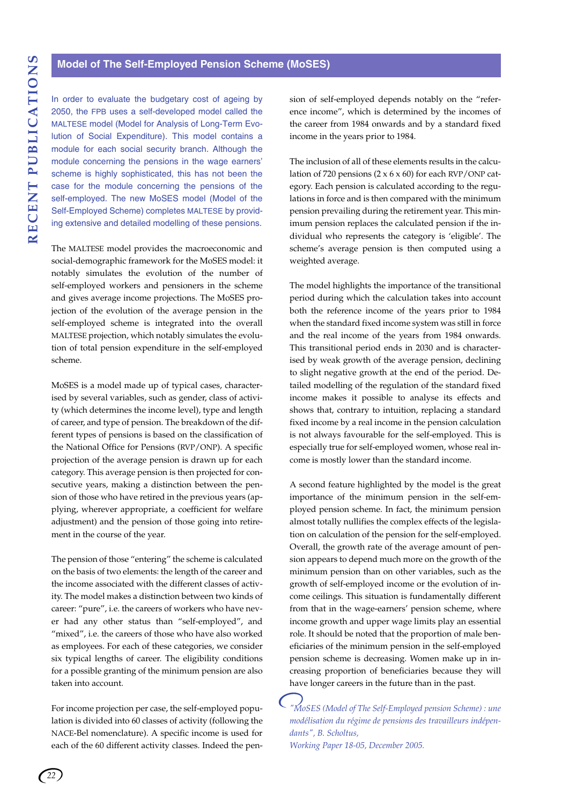#### **Model of The Self-Employed Pension Scheme (MoSES)**

In order to evaluate the budgetary cost of ageing by 2050, the FPB uses a self-developed model called the MALTESE model (Model for Analysis of Long-Term Evolution of Social Expenditure). This model contains a module for each social security branch. Although the module concerning the pensions in the wage earners' scheme is highly sophisticated, this has not been the case for the module concerning the pensions of the self-employed. The new MoSES model (Model of the Self-Employed Scheme) completes MALTESE by providing extensive and detailed modelling of these pensions.

The MALTESE model provides the macroeconomic and social-demographic framework for the MoSES model: it notably simulates the evolution of the number of self-employed workers and pensioners in the scheme and gives average income projections. The MoSES projection of the evolution of the average pension in the self-employed scheme is integrated into the overall MALTESE projection, which notably simulates the evolution of total pension expenditure in the self-employed scheme.

MoSES is a model made up of typical cases, characterised by several variables, such as gender, class of activity (which determines the income level), type and length of career, and type of pension. The breakdown of the different types of pensions is based on the classification of the National Office for Pensions (RVP/ONP). A specific projection of the average pension is drawn up for each category. This average pension is then projected for consecutive years, making a distinction between the pension of those who have retired in the previous years (applying, wherever appropriate, a coefficient for welfare adjustment) and the pension of those going into retirement in the course of the year.

The pension of those "entering" the scheme is calculated on the basis of two elements: the length of the career and the income associated with the different classes of activity. The model makes a distinction between two kinds of career: "pure", i.e. the careers of workers who have never had any other status than "self-employed", and "mixed", i.e. the careers of those who have also worked as employees. For each of these categories, we consider six typical lengths of career. The eligibility conditions for a possible granting of the minimum pension are also taken into account.

For income projection per case, the self-employed population is divided into 60 classes of activity (following the NACE-Bel nomenclature). A specific income is used for each of the 60 different activity classes. Indeed the pension of self-employed depends notably on the "reference income", which is determined by the incomes of the career from 1984 onwards and by a standard fixed income in the years prior to 1984.

The inclusion of all of these elements results in the calculation of 720 pensions  $(2 \times 6 \times 60)$  for each RVP/ONP category. Each pension is calculated according to the regulations in force and is then compared with the minimum pension prevailing during the retirement year. This minimum pension replaces the calculated pension if the individual who represents the category is 'eligible'. The scheme's average pension is then computed using a weighted average.

The model highlights the importance of the transitional period during which the calculation takes into account both the reference income of the years prior to 1984 when the standard fixed income system was still in force and the real income of the years from 1984 onwards. This transitional period ends in 2030 and is characterised by weak growth of the average pension, declining to slight negative growth at the end of the period. Detailed modelling of the regulation of the standard fixed income makes it possible to analyse its effects and shows that, contrary to intuition, replacing a standard fixed income by a real income in the pension calculation is not always favourable for the self-employed. This is especially true for self-employed women, whose real income is mostly lower than the standard income.

A second feature highlighted by the model is the great importance of the minimum pension in the self-employed pension scheme. In fact, the minimum pension almost totally nullifies the complex effects of the legislation on calculation of the pension for the self-employed. Overall, the growth rate of the average amount of pension appears to depend much more on the growth of the minimum pension than on other variables, such as the growth of self-employed income or the evolution of income ceilings. This situation is fundamentally different from that in the wage-earners' pension scheme, where income growth and upper wage limits play an essential role. It should be noted that the proportion of male beneficiaries of the minimum pension in the self-employed pension scheme is decreasing. Women make up in increasing proportion of beneficiaries because they will have longer careers in the future than in the past.

*"MoSES (Model of The Self-Employed pension Scheme) : une modélisation du régime de pensions des travailleurs indépendants", B. Scholtus, Working Paper 18-05, December 2005.*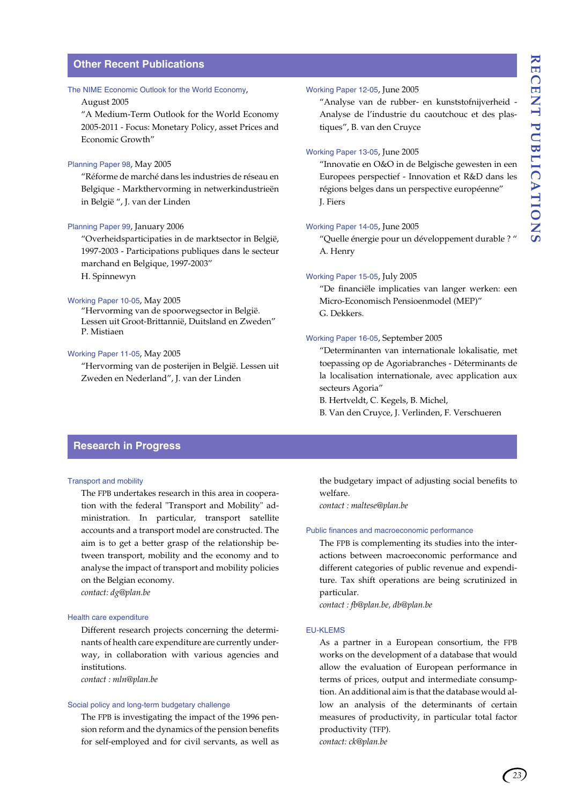#### **Other Recent Publications**

#### The NIME Economic Outlook for the World Economy,

#### August 2005

"A Medium-Term Outlook for the World Economy 2005-2011 - Focus: Monetary Policy, asset Prices and Economic Growth"

#### Planning Paper 98, May 2005

"Réforme de marché dans les industries de réseau en Belgique - Markthervorming in netwerkindustrieën in België ", J. van der Linden

#### Planning Paper 99, January 2006

"Overheidsparticipaties in de marktsector in België, 1997-2003 - Participations publiques dans le secteur marchand en Belgique, 1997-2003" H. Spinnewyn

#### Working Paper 10-05, May 2005

"Hervorming van de spoorwegsector in België. Lessen uit Groot-Brittannië, Duitsland en Zweden" P. Mistiaen

#### Working Paper 11-05, May 2005

"Hervorming van de posterijen in België. Lessen uit Zweden en Nederland", J. van der Linden

#### Working Paper 12-05, June 2005

"Analyse van de rubber- en kunststofnijverheid - Analyse de l'industrie du caoutchouc et des plastiques", B. van den Cruyce

#### Working Paper 13-05, June 2005

"Innovatie en O&O in de Belgische gewesten in een Europees perspectief - Innovation et R&D dans les régions belges dans un perspective européenne" J. Fiers

#### Working Paper 14-05, June 2005

"Quelle énergie pour un développement durable ? " A. Henry

#### Working Paper 15-05, July 2005

"De financiële implicaties van langer werken: een Micro-Economisch Pensioenmodel (MEP)" G. Dekkers.

#### Working Paper 16-05, September 2005

"Determinanten van internationale lokalisatie, met toepassing op de Agoriabranches - Déterminants de la localisation internationale, avec application aux secteurs Agoria"

B. Hertveldt, C. Kegels, B. Michel,

B. Van den Cruyce, J. Verlinden, F. Verschueren

#### **Research in Progress**

#### Transport and mobility

The FPB undertakes research in this area in cooperation with the federal "Transport and Mobility" administration. In particular, transport satellite accounts and a transport model are constructed. The aim is to get a better grasp of the relationship between transport, mobility and the economy and to analyse the impact of transport and mobility policies on the Belgian economy.

*contact: dg@plan.be*

#### Health care expenditure

Different research projects concerning the determinants of health care expenditure are currently underway, in collaboration with various agencies and institutions.

*contact : mln@plan.be*

#### Social policy and long-term budgetary challenge

The FPB is investigating the impact of the 1996 pension reform and the dynamics of the pension benefits for self-employed and for civil servants, as well as

the budgetary impact of adjusting social benefits to welfare.

*contact : maltese@plan.be*

#### Public finances and macroeconomic performance

The FPB is complementing its studies into the interactions between macroeconomic performance and different categories of public revenue and expenditure. Tax shift operations are being scrutinized in particular.

*contact : fb@plan.be, db@plan.be*

#### EU-KLEMS

As a partner in a European consortium, the FPB works on the development of a database that would allow the evaluation of European performance in terms of prices, output and intermediate consumption. An additional aim is that the database would allow an analysis of the determinants of certain measures of productivity, in particular total factor productivity (TFP). *contact: ck@plan.be*